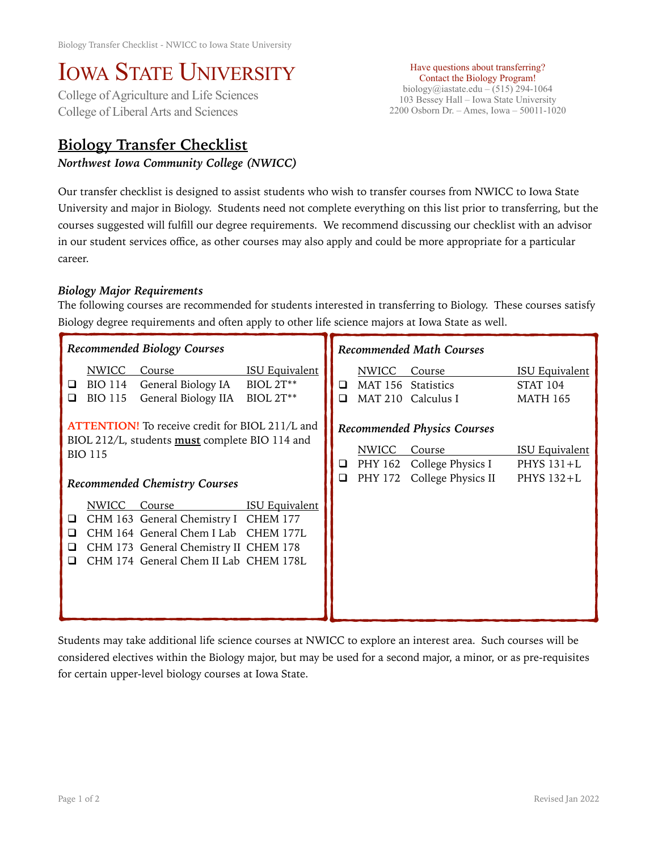## IOWA STATE UNIVERSITY<br>College of Agriculture and Life Sciences

College of Liberal Arts and Sciences

## **Biology Transfer Checklist**

*Northwest Iowa Community College (NWICC)* 

Have questions about transferring? Contact the Biology Program! biology@iastate.edu – (515) 294-1064 103 Bessey Hall – Iowa State University 2200 Osborn Dr. – Ames, Iowa – 50011-1020

Our transfer checklist is designed to assist students who wish to transfer courses from NWICC to Iowa State University and major in Biology. Students need not complete everything on this list prior to transferring, but the courses suggested will fulfill our degree requirements. We recommend discussing our checklist with an advisor in our student services office, as other courses may also apply and could be more appropriate for a particular career.

## *Biology Major Requirements*

The following courses are recommended for students interested in transferring to Biology. These courses satisfy Biology degree requirements and often apply to other life science majors at Iowa State as well.

| Recommended Biology Courses                                                                                                                                               |                                                                                                                                                                 |                                                        | <b>Recommended Math Courses</b> |                                           |                                                                                                 |                                                             |
|---------------------------------------------------------------------------------------------------------------------------------------------------------------------------|-----------------------------------------------------------------------------------------------------------------------------------------------------------------|--------------------------------------------------------|---------------------------------|-------------------------------------------|-------------------------------------------------------------------------------------------------|-------------------------------------------------------------|
| NWICC<br>BIO 114<br>⊔<br><b>BIO 115</b><br>◻                                                                                                                              | Course<br>General Biology IA<br>General Biology IIA                                                                                                             | <b>ISU Equivalent</b><br><b>BIOL 2T**</b><br>BIOL 2T** | ◻<br>❏                          | <b>NWICC</b><br>MAT 156<br><b>MAT 210</b> | Course<br><b>Statistics</b><br>Calculus I                                                       | <b>ISU Equivalent</b><br><b>STAT 104</b><br><b>MATH 165</b> |
| <b>ATTENTION!</b> To receive credit for BIOL 211/L and<br>BIOL 212/L, students <b>must</b> complete BIO 114 and<br><b>BIO 115</b><br><b>Recommended Chemistry Courses</b> |                                                                                                                                                                 |                                                        | □<br>$\Box$                     | NWICC<br>PHY 172                          | <b>Recommended Physics Courses</b><br>Course<br>PHY 162 College Physics I<br>College Physics II | <b>ISU Equivalent</b><br>PHYS $131+L$<br>PHYS 132+L         |
| NWICC<br>⊔<br>ப                                                                                                                                                           | Course<br>CHM 163 General Chemistry I<br>CHM 164 General Chem I Lab CHEM 177L<br>CHM 173 General Chemistry II CHEM 178<br>CHM 174 General Chem II Lab CHEM 178L | <b>ISU Equivalent</b><br><b>CHEM 177</b>               |                                 |                                           |                                                                                                 |                                                             |

Students may take additional life science courses at NWICC to explore an interest area. Such courses will be considered electives within the Biology major, but may be used for a second major, a minor, or as pre-requisites for certain upper-level biology courses at Iowa State.